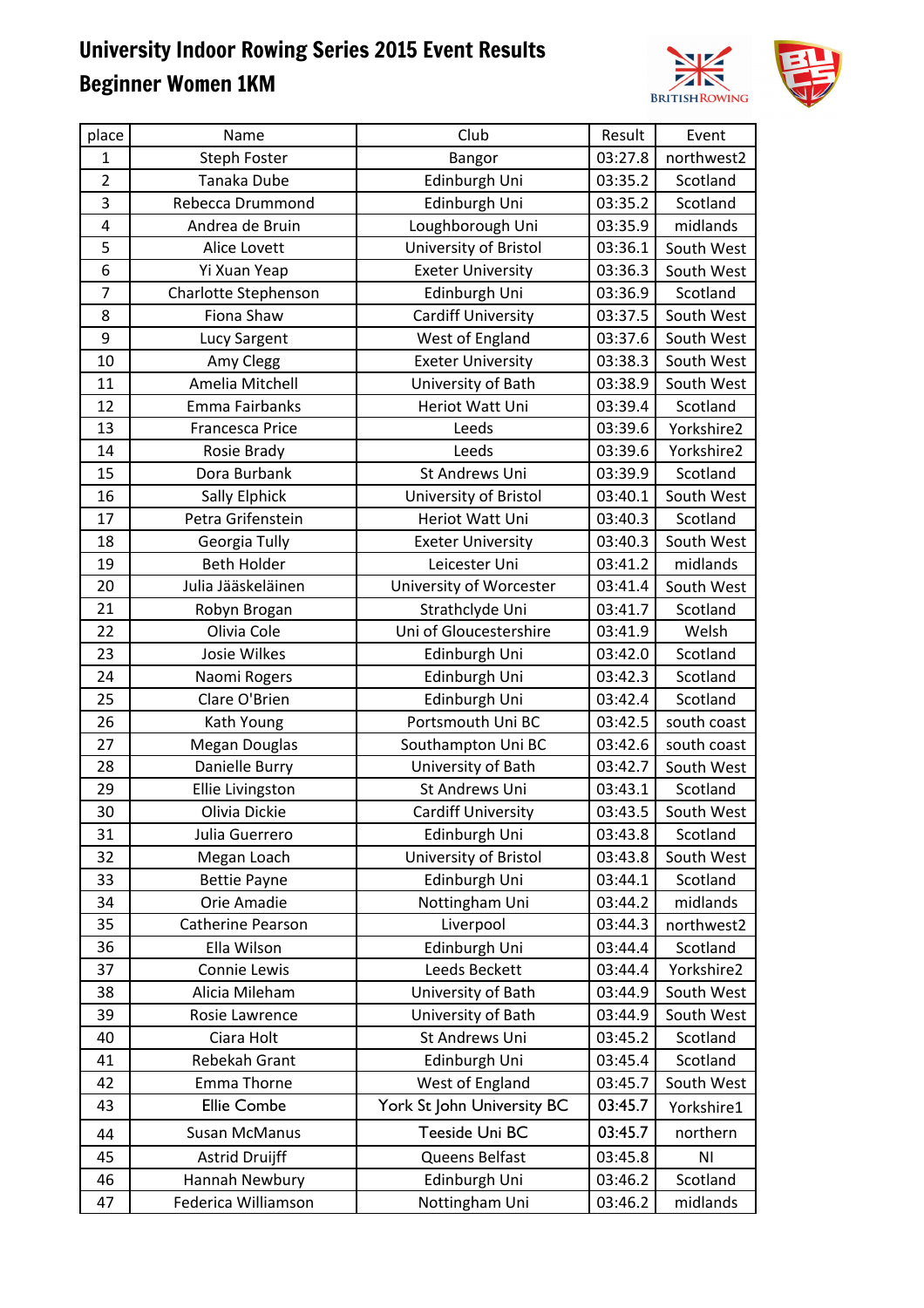

| place          | Name                    | Club                       | Result  | Event                  |
|----------------|-------------------------|----------------------------|---------|------------------------|
| $\mathbf{1}$   | <b>Steph Foster</b>     | Bangor                     | 03:27.8 | northwest2             |
| $\overline{2}$ | Tanaka Dube             | Edinburgh Uni              | 03:35.2 | Scotland               |
| 3              | Rebecca Drummond        | Edinburgh Uni              | 03:35.2 | Scotland               |
| 4              | Andrea de Bruin         | Loughborough Uni           | 03:35.9 | midlands               |
| 5              | Alice Lovett            | University of Bristol      | 03:36.1 | South West             |
| 6              | Yi Xuan Yeap            | <b>Exeter University</b>   | 03:36.3 | South West             |
| 7              | Charlotte Stephenson    | Edinburgh Uni              | 03:36.9 | Scotland               |
| 8              | Fiona Shaw              | <b>Cardiff University</b>  | 03:37.5 | South West             |
| 9              | Lucy Sargent            | West of England            | 03:37.6 | South West             |
| 10             | Amy Clegg               | <b>Exeter University</b>   | 03:38.3 | South West             |
| 11             | Amelia Mitchell         | University of Bath         | 03:38.9 | South West             |
| 12             | Emma Fairbanks          | Heriot Watt Uni            | 03:39.4 | Scotland               |
| 13             | Francesca Price         | Leeds                      | 03:39.6 | Yorkshire2             |
| 14             | Rosie Brady             | Leeds                      | 03:39.6 | Yorkshire2             |
| 15             | Dora Burbank            | St Andrews Uni             | 03:39.9 | Scotland               |
| 16             | Sally Elphick           | University of Bristol      | 03:40.1 | South West             |
| 17             | Petra Grifenstein       | Heriot Watt Uni            | 03:40.3 | Scotland               |
| 18             | Georgia Tully           | <b>Exeter University</b>   | 03:40.3 | South West             |
| 19             | Beth Holder             | Leicester Uni              | 03:41.2 | midlands               |
| 20             | Julia Jääskeläinen      | University of Worcester    | 03:41.4 | South West             |
| 21             | Robyn Brogan            | Strathclyde Uni            | 03:41.7 | Scotland               |
| 22             | Olivia Cole             | Uni of Gloucestershire     | 03:41.9 | Welsh                  |
| 23             | <b>Josie Wilkes</b>     | Edinburgh Uni              | 03:42.0 | Scotland               |
| 24             | Naomi Rogers            | Edinburgh Uni              | 03:42.3 | Scotland               |
| 25             | Clare O'Brien           | Edinburgh Uni              | 03:42.4 | Scotland               |
| 26             | Kath Young              | Portsmouth Uni BC          | 03:42.5 | south coast            |
| 27             | Megan Douglas           | Southampton Uni BC         | 03:42.6 | south coast            |
| 28             | Danielle Burry          | University of Bath         | 03:42.7 | South West             |
| 29             | <b>Ellie Livingston</b> | St Andrews Uni             | 03:43.1 | Scotland               |
| 30             | Olivia Dickie           | <b>Cardiff University</b>  | 03:43.5 | South West             |
| 31             | Julia Guerrero          | Edinburgh Uni              | 03:43.8 | Scotland               |
| 32             | Megan Loach             | University of Bristol      | 03:43.8 | South West             |
| 33             | <b>Bettie Payne</b>     | Edinburgh Uni              | 03:44.1 | Scotland               |
| 34             | Orie Amadie             | Nottingham Uni             | 03:44.2 | midlands               |
| 35             | Catherine Pearson       | Liverpool                  | 03:44.3 | northwest2             |
| 36             | Ella Wilson             | Edinburgh Uni              | 03:44.4 | Scotland               |
| 37             | Connie Lewis            | Leeds Beckett              | 03:44.4 | Yorkshire2             |
| 38             | Alicia Mileham          | University of Bath         | 03:44.9 | South West             |
| 39             | Rosie Lawrence          | University of Bath         | 03:44.9 | South West             |
| 40             | Ciara Holt              | St Andrews Uni             | 03:45.2 | Scotland               |
| 41             | Rebekah Grant           | Edinburgh Uni              | 03:45.4 | Scotland               |
| 42             | Emma Thorne             | West of England            | 03:45.7 | South West             |
| 43             | <b>Ellie Combe</b>      | York St John University BC | 03:45.7 | Yorkshire1             |
| 44             | Susan McManus           | Teeside Uni BC             | 03:45.7 | northern               |
| 45             | <b>Astrid Druijff</b>   | Queens Belfast             | 03:45.8 | $\mathsf{N}\mathsf{I}$ |
| 46             | Hannah Newbury          | Edinburgh Uni              | 03:46.2 | Scotland               |
| 47             | Federica Williamson     | Nottingham Uni             | 03:46.2 | midlands               |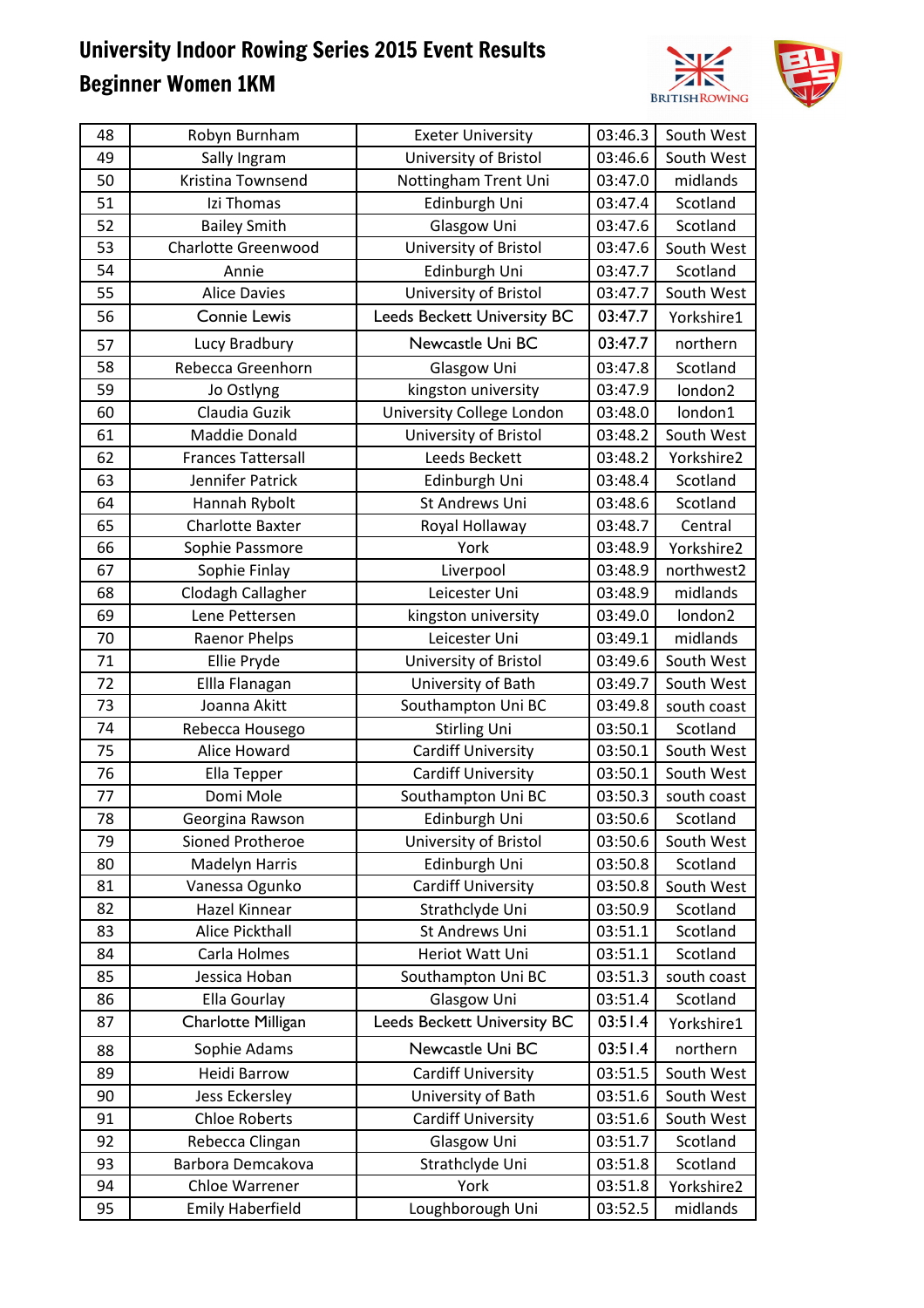

| 48 | Robyn Burnham              | <b>Exeter University</b>    | 03:46.3 | South West  |
|----|----------------------------|-----------------------------|---------|-------------|
| 49 | Sally Ingram               | University of Bristol       | 03:46.6 | South West  |
| 50 | Kristina Townsend          | Nottingham Trent Uni        | 03:47.0 | midlands    |
| 51 | Izi Thomas                 | Edinburgh Uni               | 03:47.4 | Scotland    |
| 52 | <b>Bailey Smith</b>        | Glasgow Uni                 | 03:47.6 | Scotland    |
| 53 | <b>Charlotte Greenwood</b> | University of Bristol       | 03:47.6 | South West  |
| 54 | Annie                      | Edinburgh Uni               | 03:47.7 | Scotland    |
| 55 | <b>Alice Davies</b>        | University of Bristol       | 03:47.7 | South West  |
| 56 | <b>Connie Lewis</b>        | Leeds Beckett University BC | 03:47.7 | Yorkshire1  |
| 57 | Lucy Bradbury              | Newcastle Uni BC            | 03:47.7 | northern    |
| 58 | Rebecca Greenhorn          | Glasgow Uni                 | 03:47.8 | Scotland    |
| 59 | Jo Ostlyng                 | kingston university         | 03:47.9 | london2     |
| 60 | Claudia Guzik              | University College London   | 03:48.0 | london1     |
| 61 | Maddie Donald              | University of Bristol       | 03:48.2 | South West  |
| 62 | <b>Frances Tattersall</b>  | Leeds Beckett               | 03:48.2 | Yorkshire2  |
| 63 | Jennifer Patrick           | Edinburgh Uni               | 03:48.4 | Scotland    |
| 64 | Hannah Rybolt              | St Andrews Uni              | 03:48.6 | Scotland    |
| 65 | <b>Charlotte Baxter</b>    | Royal Hollaway              | 03:48.7 | Central     |
| 66 | Sophie Passmore            | York                        | 03:48.9 | Yorkshire2  |
| 67 | Sophie Finlay              | Liverpool                   | 03:48.9 | northwest2  |
| 68 | Clodagh Callagher          | Leicester Uni               | 03:48.9 | midlands    |
| 69 | Lene Pettersen             | kingston university         | 03:49.0 | london2     |
| 70 | Raenor Phelps              | Leicester Uni               | 03:49.1 | midlands    |
| 71 | Ellie Pryde                | University of Bristol       | 03:49.6 | South West  |
| 72 | Ellla Flanagan             | University of Bath          | 03:49.7 | South West  |
| 73 | Joanna Akitt               | Southampton Uni BC          | 03:49.8 | south coast |
| 74 | Rebecca Housego            | <b>Stirling Uni</b>         | 03:50.1 | Scotland    |
| 75 | Alice Howard               | <b>Cardiff University</b>   | 03:50.1 | South West  |
| 76 | Ella Tepper                | <b>Cardiff University</b>   | 03:50.1 | South West  |
| 77 | Domi Mole                  | Southampton Uni BC          | 03:50.3 | south coast |
| 78 | Georgina Rawson            | Edinburgh Uni               | 03:50.6 | Scotland    |
| 79 | Sioned Protheroe           | University of Bristol       | 03:50.6 | South West  |
| 80 | Madelyn Harris             | Edinburgh Uni               | 03:50.8 | Scotland    |
| 81 | Vanessa Ogunko             | <b>Cardiff University</b>   | 03:50.8 | South West  |
| 82 | Hazel Kinnear              | Strathclyde Uni             | 03:50.9 | Scotland    |
| 83 | Alice Pickthall            | St Andrews Uni              | 03:51.1 | Scotland    |
| 84 | Carla Holmes               | Heriot Watt Uni             | 03:51.1 | Scotland    |
| 85 | Jessica Hoban              | Southampton Uni BC          | 03:51.3 | south coast |
| 86 | Ella Gourlay               | Glasgow Uni                 | 03:51.4 | Scotland    |
| 87 | Charlotte Milligan         | Leeds Beckett University BC | 03:51.4 | Yorkshire1  |
| 88 | Sophie Adams               | Newcastle Uni BC            | 03:51.4 | northern    |
| 89 | Heidi Barrow               | <b>Cardiff University</b>   | 03:51.5 | South West  |
| 90 | Jess Eckersley             | University of Bath          | 03:51.6 | South West  |
| 91 | <b>Chloe Roberts</b>       | <b>Cardiff University</b>   | 03:51.6 | South West  |
| 92 | Rebecca Clingan            | Glasgow Uni                 | 03:51.7 | Scotland    |
| 93 | Barbora Demcakova          | Strathclyde Uni             | 03:51.8 | Scotland    |
| 94 | Chloe Warrener             | York                        | 03:51.8 | Yorkshire2  |
| 95 | <b>Emily Haberfield</b>    | Loughborough Uni            | 03:52.5 | midlands    |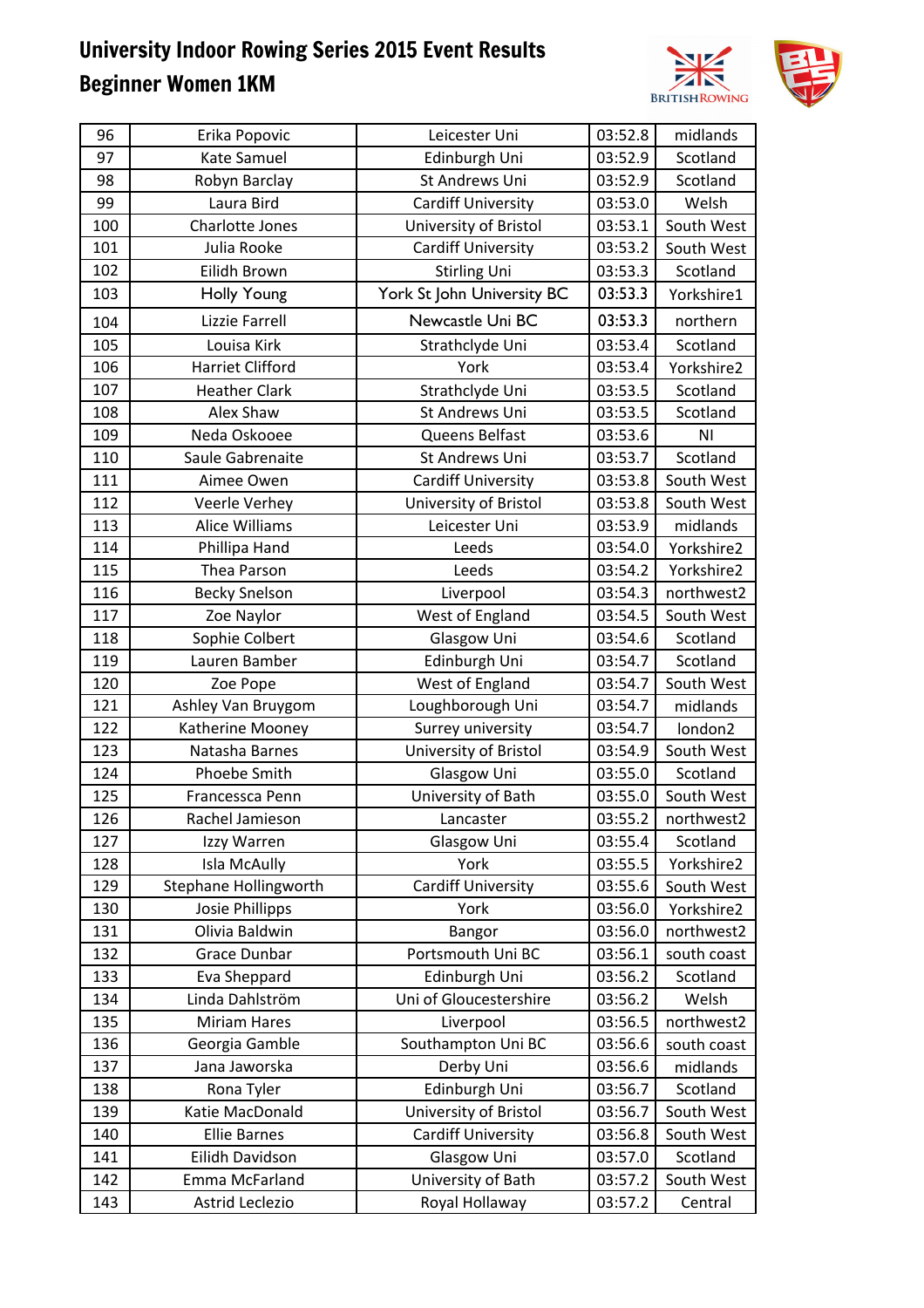

| 96  | Erika Popovic           | Leicester Uni              | 03:52.8 | midlands    |
|-----|-------------------------|----------------------------|---------|-------------|
| 97  | Kate Samuel             | Edinburgh Uni              | 03:52.9 | Scotland    |
| 98  | Robyn Barclay           | St Andrews Uni             | 03:52.9 | Scotland    |
| 99  | Laura Bird              | <b>Cardiff University</b>  | 03:53.0 | Welsh       |
| 100 | Charlotte Jones         | University of Bristol      | 03:53.1 | South West  |
| 101 | Julia Rooke             | <b>Cardiff University</b>  | 03:53.2 | South West  |
| 102 | Eilidh Brown            | <b>Stirling Uni</b>        | 03:53.3 | Scotland    |
| 103 | Holly Young             | York St John University BC | 03:53.3 | Yorkshire1  |
| 104 | Lizzie Farrell          | Newcastle Uni BC           | 03:53.3 | northern    |
| 105 | Louisa Kirk             | Strathclyde Uni            | 03:53.4 | Scotland    |
| 106 | <b>Harriet Clifford</b> | York                       | 03:53.4 | Yorkshire2  |
| 107 | <b>Heather Clark</b>    | Strathclyde Uni            | 03:53.5 | Scotland    |
| 108 | Alex Shaw               | St Andrews Uni             | 03:53.5 | Scotland    |
| 109 | Neda Oskooee            | Queens Belfast             | 03:53.6 | NI          |
| 110 | Saule Gabrenaite        | St Andrews Uni             | 03:53.7 | Scotland    |
| 111 | Aimee Owen              | <b>Cardiff University</b>  | 03:53.8 | South West  |
| 112 | Veerle Verhey           | University of Bristol      | 03:53.8 | South West  |
| 113 | Alice Williams          | Leicester Uni              | 03:53.9 | midlands    |
| 114 | Phillipa Hand           | Leeds                      | 03:54.0 | Yorkshire2  |
| 115 | Thea Parson             | Leeds                      | 03:54.2 | Yorkshire2  |
| 116 | <b>Becky Snelson</b>    | Liverpool                  | 03:54.3 | northwest2  |
| 117 | Zoe Naylor              | West of England            | 03:54.5 | South West  |
| 118 | Sophie Colbert          | Glasgow Uni                | 03:54.6 | Scotland    |
| 119 | Lauren Bamber           | Edinburgh Uni              | 03:54.7 | Scotland    |
| 120 | Zoe Pope                | West of England            | 03:54.7 | South West  |
| 121 | Ashley Van Bruygom      | Loughborough Uni           | 03:54.7 | midlands    |
| 122 | Katherine Mooney        | Surrey university          | 03:54.7 | london2     |
| 123 | Natasha Barnes          | University of Bristol      | 03:54.9 | South West  |
| 124 | Phoebe Smith            | Glasgow Uni                | 03:55.0 | Scotland    |
| 125 | Francessca Penn         | University of Bath         | 03:55.0 | South West  |
| 126 | Rachel Jamieson         | Lancaster                  | 03:55.2 | northwest2  |
| 127 | Izzy Warren             | Glasgow Uni                | 03:55.4 | Scotland    |
| 128 | Isla McAully            | York                       | 03:55.5 | Yorkshire2  |
| 129 | Stephane Hollingworth   | <b>Cardiff University</b>  | 03:55.6 | South West  |
| 130 | Josie Phillipps         | York                       | 03:56.0 | Yorkshire2  |
| 131 | Olivia Baldwin          | Bangor                     | 03:56.0 | northwest2  |
| 132 | Grace Dunbar            | Portsmouth Uni BC          | 03:56.1 | south coast |
| 133 | Eva Sheppard            | Edinburgh Uni              | 03:56.2 | Scotland    |
| 134 | Linda Dahlström         | Uni of Gloucestershire     | 03:56.2 | Welsh       |
| 135 | Miriam Hares            | Liverpool                  | 03:56.5 | northwest2  |
| 136 | Georgia Gamble          | Southampton Uni BC         | 03:56.6 | south coast |
| 137 | Jana Jaworska           | Derby Uni                  | 03:56.6 | midlands    |
| 138 | Rona Tyler              | Edinburgh Uni              | 03:56.7 | Scotland    |
| 139 | Katie MacDonald         | University of Bristol      | 03:56.7 | South West  |
| 140 | <b>Ellie Barnes</b>     | Cardiff University         | 03:56.8 | South West  |
| 141 | Eilidh Davidson         | Glasgow Uni                | 03:57.0 | Scotland    |
| 142 | Emma McFarland          | University of Bath         | 03:57.2 | South West  |
| 143 | Astrid Leclezio         | Royal Hollaway             | 03:57.2 | Central     |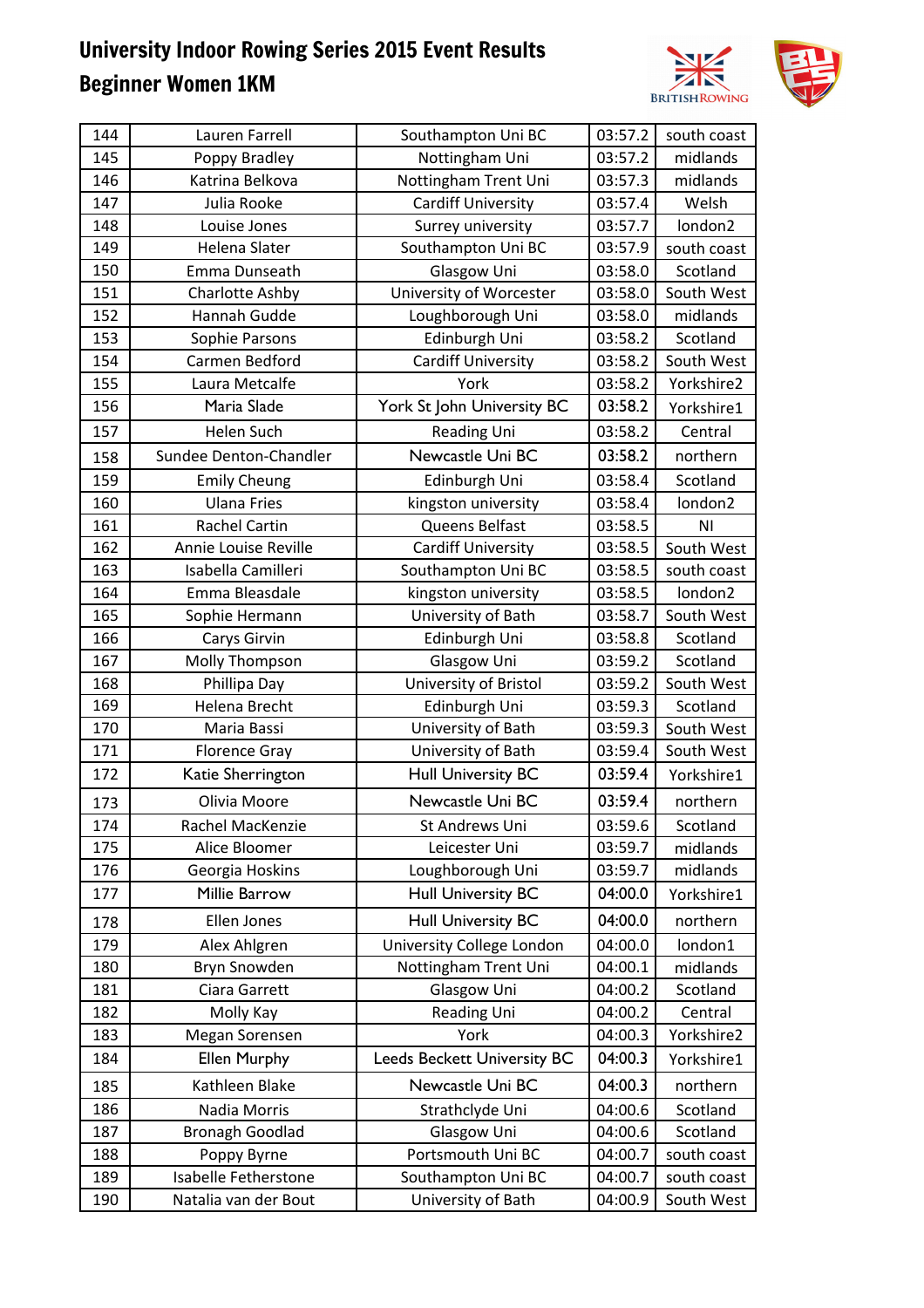

| 144 | Lauren Farrell         | Southampton Uni BC          | 03:57.2 | south coast    |
|-----|------------------------|-----------------------------|---------|----------------|
| 145 | Poppy Bradley          | Nottingham Uni              | 03:57.2 | midlands       |
| 146 | Katrina Belkova        | Nottingham Trent Uni        | 03:57.3 | midlands       |
| 147 | Julia Rooke            | <b>Cardiff University</b>   | 03:57.4 | Welsh          |
| 148 | Louise Jones           | Surrey university           | 03:57.7 | london2        |
| 149 | Helena Slater          | Southampton Uni BC          | 03:57.9 | south coast    |
| 150 | Emma Dunseath          | Glasgow Uni                 | 03:58.0 | Scotland       |
| 151 | Charlotte Ashby        | University of Worcester     | 03:58.0 | South West     |
| 152 | Hannah Gudde           | Loughborough Uni            | 03:58.0 | midlands       |
| 153 | Sophie Parsons         | Edinburgh Uni               | 03:58.2 | Scotland       |
| 154 | Carmen Bedford         | <b>Cardiff University</b>   | 03:58.2 | South West     |
| 155 | Laura Metcalfe         | York                        | 03:58.2 | Yorkshire2     |
| 156 | Maria Slade            | York St John University BC  | 03:58.2 | Yorkshire1     |
| 157 | Helen Such             | <b>Reading Uni</b>          | 03:58.2 | Central        |
| 158 | Sundee Denton-Chandler | Newcastle Uni BC            | 03:58.2 | northern       |
| 159 | <b>Emily Cheung</b>    | Edinburgh Uni               | 03:58.4 | Scotland       |
| 160 | <b>Ulana Fries</b>     | kingston university         | 03:58.4 | london2        |
| 161 | <b>Rachel Cartin</b>   | Queens Belfast              | 03:58.5 | N <sub>1</sub> |
| 162 | Annie Louise Reville   | <b>Cardiff University</b>   | 03:58.5 | South West     |
| 163 | Isabella Camilleri     | Southampton Uni BC          | 03:58.5 | south coast    |
| 164 | Emma Bleasdale         | kingston university         | 03:58.5 | london2        |
| 165 | Sophie Hermann         | University of Bath          | 03:58.7 | South West     |
| 166 | Carys Girvin           | Edinburgh Uni               | 03:58.8 | Scotland       |
| 167 | Molly Thompson         | Glasgow Uni                 | 03:59.2 | Scotland       |
| 168 | Phillipa Day           | University of Bristol       | 03:59.2 | South West     |
| 169 | Helena Brecht          | Edinburgh Uni               | 03:59.3 | Scotland       |
| 170 | Maria Bassi            | University of Bath          | 03:59.3 | South West     |
| 171 | <b>Florence Gray</b>   | University of Bath          | 03:59.4 | South West     |
| 172 | Katie Sherrington      | <b>Hull University BC</b>   | 03:59.4 | Yorkshire1     |
| 173 | Olivia Moore           | Newcastle Uni BC            | 03:59.4 | northern       |
| 174 | Rachel MacKenzie       | St Andrews Uni              | 03:59.6 | Scotland       |
| 175 | Alice Bloomer          | Leicester Uni               | 03:59.7 | midlands       |
| 176 | Georgia Hoskins        | Loughborough Uni            | 03:59.7 | midlands       |
| 177 | Millie Barrow          | <b>Hull University BC</b>   | 04:00.0 | Yorkshire1     |
| 178 | Ellen Jones            | <b>Hull University BC</b>   | 04:00.0 | northern       |
| 179 | Alex Ahlgren           | University College London   | 04:00.0 | london1        |
| 180 | Bryn Snowden           | Nottingham Trent Uni        | 04:00.1 | midlands       |
| 181 | Ciara Garrett          | Glasgow Uni                 | 04:00.2 | Scotland       |
| 182 | Molly Kay              | Reading Uni                 | 04:00.2 | Central        |
| 183 | Megan Sorensen         | York                        | 04:00.3 | Yorkshire2     |
| 184 | <b>Ellen Murphy</b>    | Leeds Beckett University BC | 04:00.3 | Yorkshire1     |
| 185 | Kathleen Blake         | Newcastle Uni BC            | 04:00.3 | northern       |
| 186 | Nadia Morris           | Strathclyde Uni             | 04:00.6 | Scotland       |
| 187 | <b>Bronagh Goodlad</b> | Glasgow Uni                 | 04:00.6 | Scotland       |
| 188 | Poppy Byrne            | Portsmouth Uni BC           | 04:00.7 | south coast    |
| 189 | Isabelle Fetherstone   | Southampton Uni BC          | 04:00.7 | south coast    |
| 190 | Natalia van der Bout   | University of Bath          | 04:00.9 | South West     |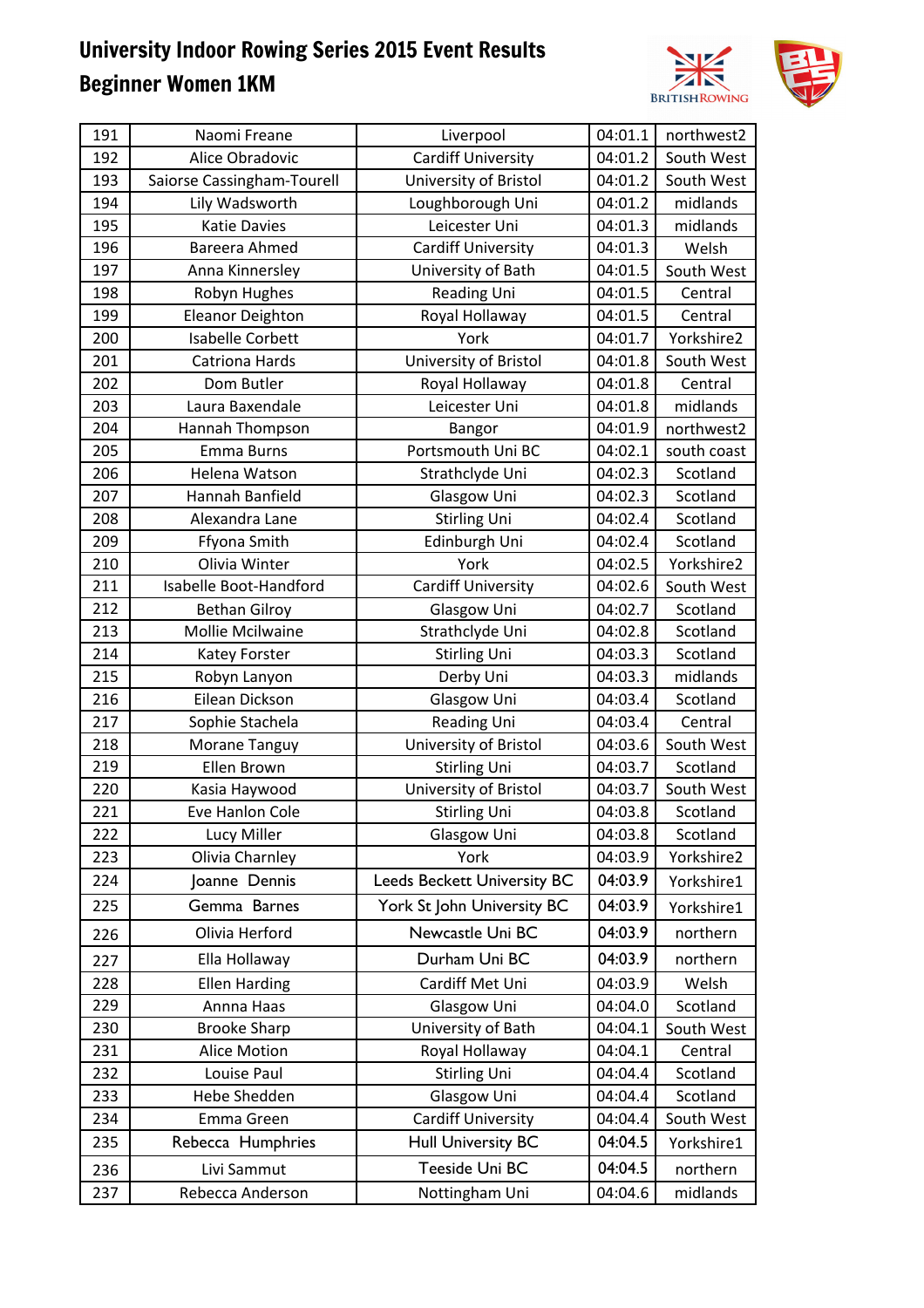

| 191 | Naomi Freane               | Liverpool                          | 04:01.1 | northwest2  |
|-----|----------------------------|------------------------------------|---------|-------------|
| 192 | Alice Obradovic            | <b>Cardiff University</b>          | 04:01.2 | South West  |
| 193 | Saiorse Cassingham-Tourell | University of Bristol              | 04:01.2 | South West  |
| 194 | Lily Wadsworth             | Loughborough Uni                   | 04:01.2 | midlands    |
| 195 | <b>Katie Davies</b>        | Leicester Uni                      | 04:01.3 | midlands    |
| 196 | Bareera Ahmed              | <b>Cardiff University</b>          | 04:01.3 | Welsh       |
| 197 | Anna Kinnersley            | University of Bath                 | 04:01.5 | South West  |
| 198 | Robyn Hughes               | Reading Uni                        | 04:01.5 | Central     |
| 199 | <b>Eleanor Deighton</b>    | Royal Hollaway                     | 04:01.5 | Central     |
| 200 | <b>Isabelle Corbett</b>    | York                               | 04:01.7 | Yorkshire2  |
| 201 | <b>Catriona Hards</b>      | University of Bristol              | 04:01.8 | South West  |
| 202 | Dom Butler                 | Royal Hollaway                     | 04:01.8 | Central     |
| 203 | Laura Baxendale            | Leicester Uni                      | 04:01.8 | midlands    |
| 204 | Hannah Thompson            | <b>Bangor</b>                      | 04:01.9 | northwest2  |
| 205 | <b>Emma Burns</b>          | Portsmouth Uni BC                  | 04:02.1 | south coast |
| 206 | Helena Watson              | Strathclyde Uni                    | 04:02.3 | Scotland    |
| 207 | Hannah Banfield            | Glasgow Uni                        | 04:02.3 | Scotland    |
| 208 | Alexandra Lane             | <b>Stirling Uni</b>                | 04:02.4 | Scotland    |
| 209 | Ffyona Smith               | Edinburgh Uni                      | 04:02.4 | Scotland    |
| 210 | Olivia Winter              | York                               | 04:02.5 | Yorkshire2  |
| 211 | Isabelle Boot-Handford     | Cardiff University                 | 04:02.6 | South West  |
| 212 | <b>Bethan Gilroy</b>       | Glasgow Uni                        | 04:02.7 | Scotland    |
| 213 | Mollie Mcilwaine           | Strathclyde Uni                    | 04:02.8 | Scotland    |
| 214 | Katey Forster              | <b>Stirling Uni</b>                | 04:03.3 | Scotland    |
| 215 | Robyn Lanyon               | Derby Uni                          | 04:03.3 | midlands    |
| 216 | Eilean Dickson             | Glasgow Uni                        | 04:03.4 | Scotland    |
| 217 | Sophie Stachela            | <b>Reading Uni</b>                 | 04:03.4 | Central     |
| 218 | Morane Tanguy              | University of Bristol              | 04:03.6 | South West  |
| 219 | Ellen Brown                | <b>Stirling Uni</b>                | 04:03.7 | Scotland    |
| 220 | Kasia Haywood              | University of Bristol              | 04:03.7 | South West  |
| 221 | Eve Hanlon Cole            | <b>Stirling Uni</b>                | 04:03.8 | Scotland    |
| 222 | Lucy Miller                | Glasgow Uni                        | 04:03.8 | Scotland    |
| 223 | Olivia Charnley            | York                               | 04:03.9 | Yorkshire2  |
| 224 | Joanne Dennis              | <b>Leeds Beckett University BC</b> | 04:03.9 | Yorkshire1  |
| 225 | Gemma Barnes               | York St John University BC         | 04:03.9 | Yorkshire1  |
| 226 | Olivia Herford             | Newcastle Uni BC                   | 04:03.9 | northern    |
| 227 | Ella Hollaway              | Durham Uni BC                      | 04:03.9 | northern    |
| 228 | <b>Ellen Harding</b>       | Cardiff Met Uni                    | 04:03.9 | Welsh       |
| 229 | Annna Haas                 | Glasgow Uni                        | 04:04.0 | Scotland    |
| 230 | <b>Brooke Sharp</b>        | University of Bath                 | 04:04.1 | South West  |
| 231 | <b>Alice Motion</b>        | Royal Hollaway                     | 04:04.1 | Central     |
| 232 | Louise Paul                | <b>Stirling Uni</b>                | 04:04.4 | Scotland    |
| 233 | Hebe Shedden               | Glasgow Uni                        | 04:04.4 | Scotland    |
| 234 | Emma Green                 | <b>Cardiff University</b>          | 04:04.4 | South West  |
| 235 | Rebecca Humphries          | <b>Hull University BC</b>          | 04:04.5 | Yorkshire1  |
| 236 | Livi Sammut                | Teeside Uni BC                     | 04:04.5 | northern    |
| 237 | Rebecca Anderson           | Nottingham Uni                     | 04:04.6 | midlands    |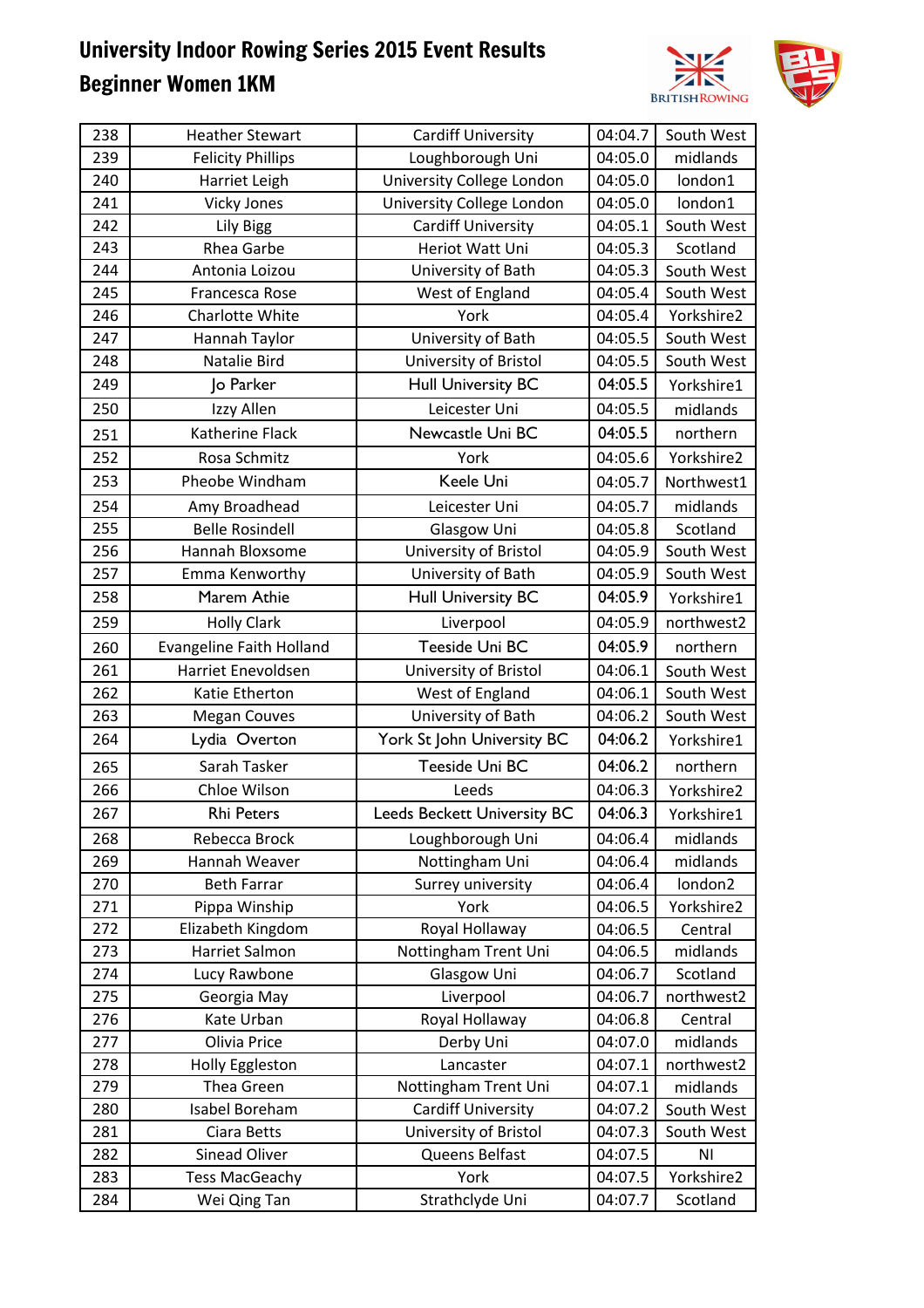

| 238 | <b>Heather Stewart</b>          | <b>Cardiff University</b>   | 04:04.7 | South West     |
|-----|---------------------------------|-----------------------------|---------|----------------|
| 239 | <b>Felicity Phillips</b>        | Loughborough Uni            | 04:05.0 | midlands       |
| 240 | Harriet Leigh                   | University College London   | 04:05.0 | london1        |
| 241 | <b>Vicky Jones</b>              | University College London   | 04:05.0 | london1        |
| 242 | Lily Bigg                       | <b>Cardiff University</b>   | 04:05.1 | South West     |
| 243 | Rhea Garbe                      | Heriot Watt Uni             | 04:05.3 | Scotland       |
| 244 | Antonia Loizou                  | University of Bath          | 04:05.3 | South West     |
| 245 | Francesca Rose                  | West of England             | 04:05.4 | South West     |
| 246 | Charlotte White                 | York                        | 04:05.4 | Yorkshire2     |
| 247 | Hannah Taylor                   | University of Bath          | 04:05.5 | South West     |
| 248 | Natalie Bird                    | University of Bristol       | 04:05.5 | South West     |
| 249 | Jo Parker                       | <b>Hull University BC</b>   | 04:05.5 | Yorkshire1     |
| 250 | Izzy Allen                      | Leicester Uni               | 04:05.5 | midlands       |
| 251 | Katherine Flack                 | Newcastle Uni BC            | 04:05.5 | northern       |
| 252 | Rosa Schmitz                    | York                        | 04:05.6 | Yorkshire2     |
| 253 | Pheobe Windham                  | Keele Uni                   | 04:05.7 | Northwest1     |
| 254 | Amy Broadhead                   | Leicester Uni               | 04:05.7 | midlands       |
| 255 | <b>Belle Rosindell</b>          | Glasgow Uni                 | 04:05.8 | Scotland       |
| 256 | Hannah Bloxsome                 | University of Bristol       | 04:05.9 | South West     |
| 257 | Emma Kenworthy                  | University of Bath          | 04:05.9 | South West     |
| 258 | Marem Athie                     | <b>Hull University BC</b>   | 04:05.9 | Yorkshire1     |
| 259 | <b>Holly Clark</b>              | Liverpool                   | 04:05.9 | northwest2     |
| 260 | <b>Evangeline Faith Holland</b> | Teeside Uni BC              | 04:05.9 | northern       |
| 261 | Harriet Enevoldsen              | University of Bristol       | 04:06.1 | South West     |
| 262 | Katie Etherton                  | West of England             | 04:06.1 | South West     |
| 263 | <b>Megan Couves</b>             | University of Bath          | 04:06.2 | South West     |
| 264 | Lydia Overton                   | York St John University BC  | 04:06.2 | Yorkshire1     |
| 265 | Sarah Tasker                    | Teeside Uni BC              | 04:06.2 | northern       |
| 266 | Chloe Wilson                    | Leeds                       | 04:06.3 | Yorkshire2     |
| 267 | <b>Rhi Peters</b>               | Leeds Beckett University BC | 04:06.3 | Yorkshire1     |
| 268 | Rebecca Brock                   | Loughborough Uni            | 04:06.4 | midlands       |
| 269 | Hannah Weaver                   | Nottingham Uni              | 04:06.4 | midlands       |
| 270 | <b>Beth Farrar</b>              | Surrey university           | 04:06.4 | london2        |
| 271 | Pippa Winship                   | York                        | 04:06.5 | Yorkshire2     |
| 272 | Elizabeth Kingdom               | Royal Hollaway              | 04:06.5 | Central        |
| 273 | Harriet Salmon                  | Nottingham Trent Uni        | 04:06.5 | midlands       |
| 274 | Lucy Rawbone                    | Glasgow Uni                 | 04:06.7 | Scotland       |
| 275 | Georgia May                     | Liverpool                   | 04:06.7 | northwest2     |
| 276 | Kate Urban                      | Royal Hollaway              | 04:06.8 | Central        |
| 277 | Olivia Price                    | Derby Uni                   | 04:07.0 | midlands       |
| 278 | Holly Eggleston                 | Lancaster                   | 04:07.1 | northwest2     |
| 279 | Thea Green                      | Nottingham Trent Uni        | 04:07.1 | midlands       |
| 280 | Isabel Boreham                  | <b>Cardiff University</b>   | 04:07.2 | South West     |
| 281 | Ciara Betts                     | University of Bristol       | 04:07.3 | South West     |
| 282 | Sinead Oliver                   | Queens Belfast              | 04:07.5 | N <sub>1</sub> |
| 283 | <b>Tess MacGeachy</b>           | York                        | 04:07.5 | Yorkshire2     |
| 284 | Wei Qing Tan                    | Strathclyde Uni             | 04:07.7 | Scotland       |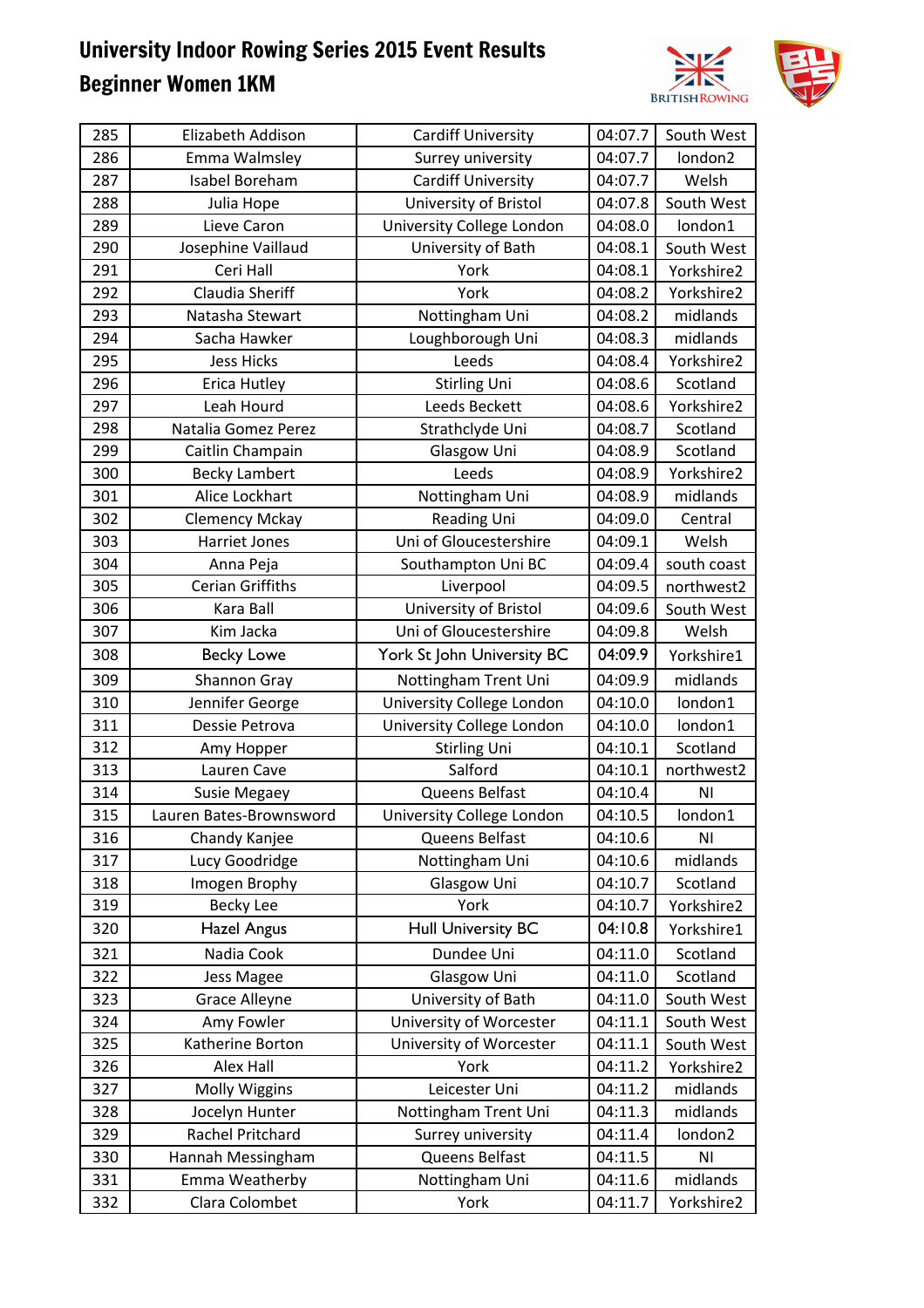

| 285 | Elizabeth Addison       | <b>Cardiff University</b>  | 04:07.7 | South West     |
|-----|-------------------------|----------------------------|---------|----------------|
| 286 | Emma Walmsley           | Surrey university          | 04:07.7 | london2        |
| 287 | Isabel Boreham          | <b>Cardiff University</b>  | 04:07.7 | Welsh          |
| 288 | Julia Hope              | University of Bristol      | 04:07.8 | South West     |
| 289 | Lieve Caron             | University College London  | 04:08.0 | london1        |
| 290 | Josephine Vaillaud      | University of Bath         | 04:08.1 | South West     |
| 291 | Ceri Hall               | York                       | 04:08.1 | Yorkshire2     |
| 292 | <b>Claudia Sheriff</b>  | York                       | 04:08.2 | Yorkshire2     |
| 293 | Natasha Stewart         | Nottingham Uni             | 04:08.2 | midlands       |
| 294 | Sacha Hawker            | Loughborough Uni           | 04:08.3 | midlands       |
| 295 | <b>Jess Hicks</b>       | Leeds                      | 04:08.4 | Yorkshire2     |
| 296 | Erica Hutley            | <b>Stirling Uni</b>        | 04:08.6 | Scotland       |
| 297 | Leah Hourd              | Leeds Beckett              | 04:08.6 | Yorkshire2     |
| 298 | Natalia Gomez Perez     | Strathclyde Uni            | 04:08.7 | Scotland       |
| 299 | Caitlin Champain        | Glasgow Uni                | 04:08.9 | Scotland       |
| 300 | <b>Becky Lambert</b>    | Leeds                      | 04:08.9 | Yorkshire2     |
| 301 | Alice Lockhart          | Nottingham Uni             | 04:08.9 | midlands       |
| 302 | <b>Clemency Mckay</b>   | Reading Uni                | 04:09.0 | Central        |
| 303 | Harriet Jones           | Uni of Gloucestershire     | 04:09.1 | Welsh          |
| 304 | Anna Peja               | Southampton Uni BC         | 04:09.4 | south coast    |
| 305 | <b>Cerian Griffiths</b> | Liverpool                  | 04:09.5 | northwest2     |
| 306 | Kara Ball               | University of Bristol      | 04:09.6 | South West     |
| 307 | Kim Jacka               | Uni of Gloucestershire     | 04:09.8 | Welsh          |
| 308 | <b>Becky Lowe</b>       | York St John University BC | 04:09.9 | Yorkshire1     |
| 309 | Shannon Gray            | Nottingham Trent Uni       | 04:09.9 | midlands       |
| 310 | Jennifer George         | University College London  | 04:10.0 | london1        |
| 311 | Dessie Petrova          | University College London  | 04:10.0 | london1        |
| 312 | Amy Hopper              | <b>Stirling Uni</b>        | 04:10.1 | Scotland       |
| 313 | Lauren Cave             | Salford                    | 04:10.1 | northwest2     |
| 314 | <b>Susie Megaey</b>     | Queens Belfast             | 04:10.4 | N <sub>1</sub> |
| 315 | Lauren Bates-Brownsword | University College London  | 04:10.5 | london1        |
| 316 | Chandy Kanjee           | Queens Belfast             | 04:10.6 | N <sub>l</sub> |
| 317 | Lucy Goodridge          | Nottingham Uni             | 04:10.6 | midlands       |
| 318 | Imogen Brophy           | Glasgow Uni                | 04:10.7 | Scotland       |
| 319 | <b>Becky Lee</b>        | York                       | 04:10.7 | Yorkshire2     |
| 320 | Hazel Angus             | <b>Hull University BC</b>  | 04:10.8 | Yorkshire1     |
| 321 | Nadia Cook              | Dundee Uni                 | 04:11.0 | Scotland       |
| 322 | Jess Magee              | Glasgow Uni                | 04:11.0 | Scotland       |
| 323 | <b>Grace Alleyne</b>    | University of Bath         | 04:11.0 | South West     |
| 324 | Amy Fowler              | University of Worcester    | 04:11.1 | South West     |
| 325 | Katherine Borton        | University of Worcester    | 04:11.1 | South West     |
| 326 | Alex Hall               | York                       | 04:11.2 | Yorkshire2     |
| 327 | Molly Wiggins           | Leicester Uni              | 04:11.2 | midlands       |
| 328 | Jocelyn Hunter          | Nottingham Trent Uni       | 04:11.3 | midlands       |
| 329 | Rachel Pritchard        | Surrey university          | 04:11.4 | london2        |
| 330 | Hannah Messingham       | Queens Belfast             | 04:11.5 | N <sub>1</sub> |
| 331 | Emma Weatherby          | Nottingham Uni             | 04:11.6 | midlands       |
| 332 | Clara Colombet          | York                       | 04:11.7 | Yorkshire2     |
|     |                         |                            |         |                |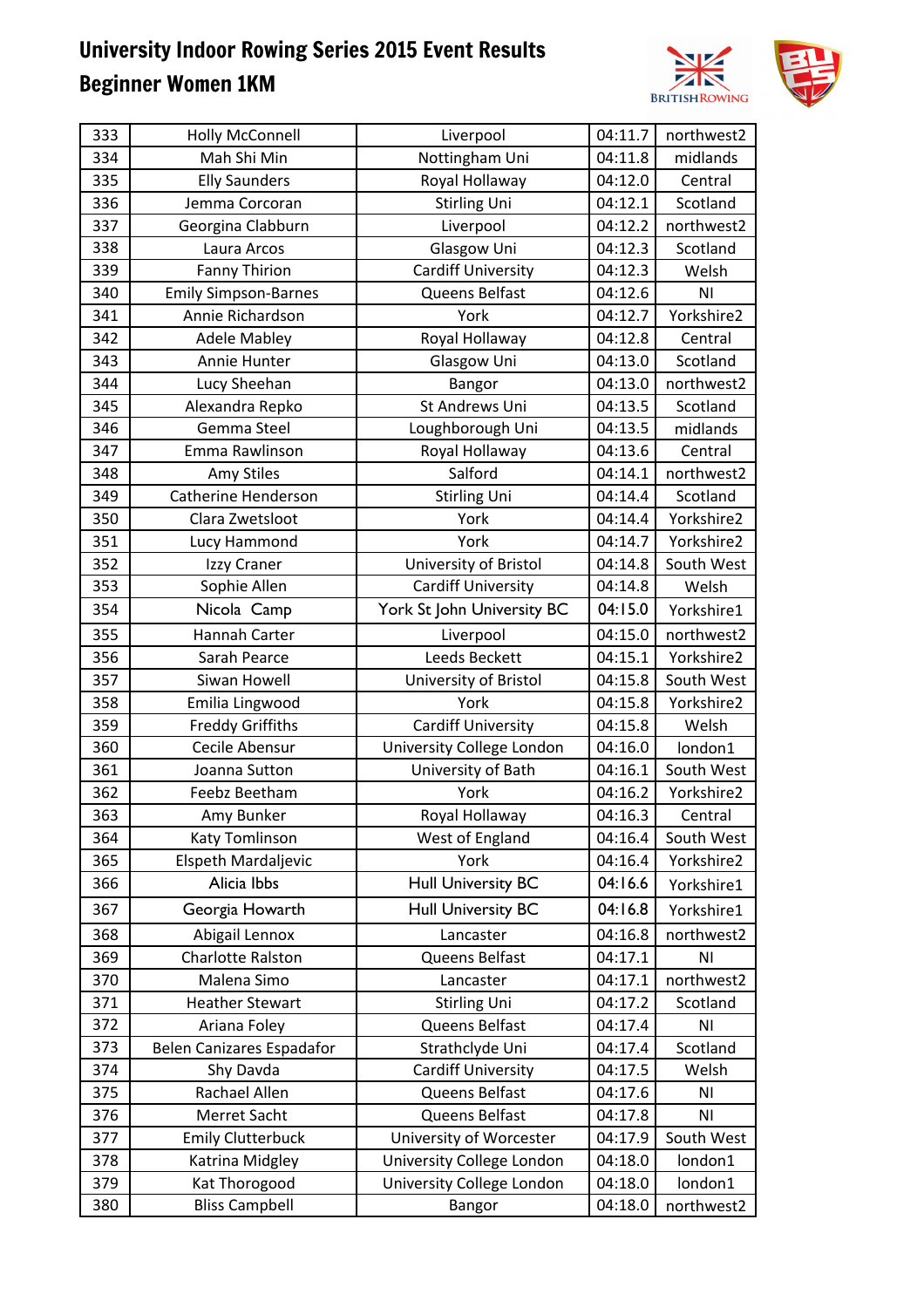

| 333 | Holly McConnell             | Liverpool                  | 04:11.7 | northwest2     |
|-----|-----------------------------|----------------------------|---------|----------------|
| 334 | Mah Shi Min                 | Nottingham Uni             | 04:11.8 | midlands       |
| 335 | <b>Elly Saunders</b>        | Royal Hollaway             | 04:12.0 | Central        |
| 336 | Jemma Corcoran              | <b>Stirling Uni</b>        | 04:12.1 | Scotland       |
| 337 | Georgina Clabburn           | Liverpool                  | 04:12.2 | northwest2     |
| 338 | Laura Arcos                 | Glasgow Uni                | 04:12.3 | Scotland       |
| 339 | <b>Fanny Thirion</b>        | <b>Cardiff University</b>  | 04:12.3 | Welsh          |
| 340 | <b>Emily Simpson-Barnes</b> | Queens Belfast             | 04:12.6 | N <sub>1</sub> |
| 341 | Annie Richardson            | York                       | 04:12.7 | Yorkshire2     |
| 342 | <b>Adele Mabley</b>         | Royal Hollaway             | 04:12.8 | Central        |
| 343 | Annie Hunter                | Glasgow Uni                | 04:13.0 | Scotland       |
| 344 | Lucy Sheehan                | Bangor                     | 04:13.0 | northwest2     |
| 345 | Alexandra Repko             | St Andrews Uni             | 04:13.5 | Scotland       |
| 346 | Gemma Steel                 | Loughborough Uni           | 04:13.5 | midlands       |
| 347 | Emma Rawlinson              | Royal Hollaway             | 04:13.6 | Central        |
| 348 | <b>Amy Stiles</b>           | Salford                    | 04:14.1 | northwest2     |
| 349 | <b>Catherine Henderson</b>  | <b>Stirling Uni</b>        | 04:14.4 | Scotland       |
| 350 | Clara Zwetsloot             | York                       | 04:14.4 | Yorkshire2     |
| 351 | Lucy Hammond                | York                       | 04:14.7 | Yorkshire2     |
| 352 | Izzy Craner                 | University of Bristol      | 04:14.8 | South West     |
| 353 | Sophie Allen                | <b>Cardiff University</b>  | 04:14.8 | Welsh          |
| 354 | Nicola Camp                 | York St John University BC | 04:15.0 | Yorkshire1     |
| 355 | Hannah Carter               | Liverpool                  | 04:15.0 | northwest2     |
| 356 | Sarah Pearce                | Leeds Beckett              | 04:15.1 | Yorkshire2     |
| 357 | Siwan Howell                | University of Bristol      | 04:15.8 | South West     |
| 358 | Emilia Lingwood             | York                       | 04:15.8 | Yorkshire2     |
| 359 | <b>Freddy Griffiths</b>     | <b>Cardiff University</b>  | 04:15.8 | Welsh          |
| 360 | Cecile Abensur              | University College London  | 04:16.0 | london1        |
| 361 | Joanna Sutton               | University of Bath         | 04:16.1 | South West     |
| 362 | Feebz Beetham               | York                       | 04:16.2 | Yorkshire2     |
| 363 | Amy Bunker                  | Royal Hollaway             | 04:16.3 | Central        |
| 364 | Katy Tomlinson              | West of England            | 04:16.4 | South West     |
| 365 | Elspeth Mardaljevic         | York                       | 04:16.4 | Yorkshire2     |
| 366 | Alicia Ibbs                 | <b>Hull University BC</b>  | 04:16.6 | Yorkshire1     |
| 367 | Georgia Howarth             | <b>Hull University BC</b>  | 04:16.8 | Yorkshire1     |
| 368 | Abigail Lennox              | Lancaster                  | 04:16.8 | northwest2     |
| 369 | Charlotte Ralston           | Queens Belfast             | 04:17.1 | ΝI             |
| 370 | Malena Simo                 | Lancaster                  | 04:17.1 | northwest2     |
| 371 | <b>Heather Stewart</b>      | Stirling Uni               | 04:17.2 | Scotland       |
| 372 | Ariana Foley                | Queens Belfast             | 04:17.4 | ΝI             |
| 373 | Belen Canizares Espadafor   | Strathclyde Uni            | 04:17.4 | Scotland       |
| 374 | Shy Davda                   | <b>Cardiff University</b>  | 04:17.5 | Welsh          |
| 375 | Rachael Allen               | Queens Belfast             | 04:17.6 | ΝI             |
| 376 | Merret Sacht                | Queens Belfast             | 04:17.8 | ΝI             |
| 377 | <b>Emily Clutterbuck</b>    | University of Worcester    | 04:17.9 | South West     |
| 378 | Katrina Midgley             | University College London  | 04:18.0 | london1        |
| 379 | Kat Thorogood               | University College London  | 04:18.0 | london1        |
| 380 | <b>Bliss Campbell</b>       | <b>Bangor</b>              | 04:18.0 | northwest2     |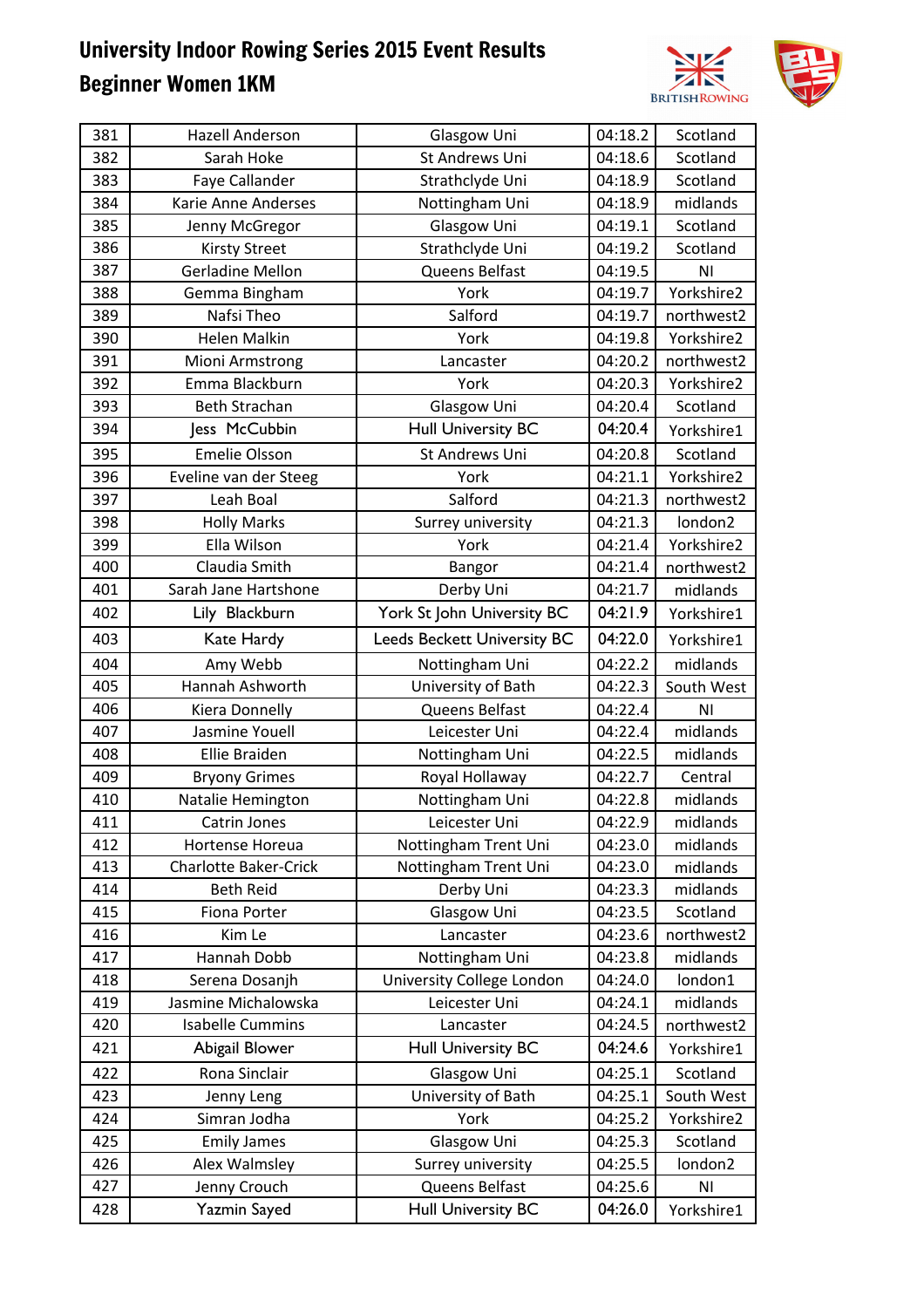

| 381 | <b>Hazell Anderson</b>       | Glasgow Uni                 | 04:18.2 | Scotland       |
|-----|------------------------------|-----------------------------|---------|----------------|
| 382 | Sarah Hoke                   | St Andrews Uni              | 04:18.6 | Scotland       |
| 383 | Faye Callander               | Strathclyde Uni             | 04:18.9 | Scotland       |
| 384 | Karie Anne Anderses          | Nottingham Uni              | 04:18.9 | midlands       |
| 385 | Jenny McGregor               | Glasgow Uni                 | 04:19.1 | Scotland       |
| 386 | <b>Kirsty Street</b>         | Strathclyde Uni             | 04:19.2 | Scotland       |
| 387 | <b>Gerladine Mellon</b>      | Queens Belfast              | 04:19.5 | NI             |
| 388 | Gemma Bingham                | York                        | 04:19.7 | Yorkshire2     |
| 389 | Nafsi Theo                   | Salford                     | 04:19.7 | northwest2     |
| 390 | <b>Helen Malkin</b>          | York                        | 04:19.8 | Yorkshire2     |
| 391 | Mioni Armstrong              | Lancaster                   | 04:20.2 | northwest2     |
| 392 | Emma Blackburn               | York                        | 04:20.3 | Yorkshire2     |
| 393 | Beth Strachan                | Glasgow Uni                 | 04:20.4 | Scotland       |
| 394 | Jess McCubbin                | <b>Hull University BC</b>   | 04:20.4 | Yorkshire1     |
| 395 | <b>Emelie Olsson</b>         | St Andrews Uni              | 04:20.8 | Scotland       |
| 396 | Eveline van der Steeg        | York                        | 04:21.1 | Yorkshire2     |
| 397 | Leah Boal                    | Salford                     | 04:21.3 | northwest2     |
| 398 | <b>Holly Marks</b>           | Surrey university           | 04:21.3 | london2        |
| 399 | Ella Wilson                  | York                        | 04:21.4 | Yorkshire2     |
| 400 | Claudia Smith                | Bangor                      | 04:21.4 | northwest2     |
| 401 | Sarah Jane Hartshone         | Derby Uni                   | 04:21.7 | midlands       |
| 402 | Lily Blackburn               | York St John University BC  | 04:21.9 | Yorkshire1     |
| 403 | Kate Hardy                   | Leeds Beckett University BC | 04:22.0 | Yorkshire1     |
| 404 | Amy Webb                     | Nottingham Uni              | 04:22.2 | midlands       |
| 405 | Hannah Ashworth              | University of Bath          | 04:22.3 | South West     |
| 406 | Kiera Donnelly               | Queens Belfast              | 04:22.4 | N <sub>l</sub> |
| 407 | Jasmine Youell               | Leicester Uni               | 04:22.4 | midlands       |
| 408 | Ellie Braiden                | Nottingham Uni              | 04:22.5 | midlands       |
| 409 | <b>Bryony Grimes</b>         | Royal Hollaway              | 04:22.7 | Central        |
| 410 | Natalie Hemington            | Nottingham Uni              | 04:22.8 | midlands       |
| 411 | Catrin Jones                 | Leicester Uni               | 04:22.9 | midlands       |
| 412 | Hortense Horeua              | Nottingham Trent Uni        | 04:23.0 | midlands       |
| 413 | <b>Charlotte Baker-Crick</b> | Nottingham Trent Uni        | 04:23.0 | midlands       |
| 414 | <b>Beth Reid</b>             | Derby Uni                   | 04:23.3 | midlands       |
| 415 | Fiona Porter                 | Glasgow Uni                 | 04:23.5 | Scotland       |
| 416 | Kim Le                       | Lancaster                   | 04:23.6 | northwest2     |
| 417 | <b>Hannah Dobb</b>           | Nottingham Uni              | 04:23.8 | midlands       |
| 418 | Serena Dosanjh               | University College London   | 04:24.0 | london1        |
| 419 | Jasmine Michalowska          | Leicester Uni               | 04:24.1 | midlands       |
| 420 | <b>Isabelle Cummins</b>      | Lancaster                   | 04:24.5 | northwest2     |
| 421 | Abigail Blower               | <b>Hull University BC</b>   | 04:24.6 | Yorkshire1     |
| 422 | Rona Sinclair                | Glasgow Uni                 | 04:25.1 | Scotland       |
| 423 | Jenny Leng                   | University of Bath          | 04:25.1 | South West     |
| 424 | Simran Jodha                 | York                        | 04:25.2 | Yorkshire2     |
| 425 |                              |                             |         |                |
|     | <b>Emily James</b>           | Glasgow Uni                 | 04:25.3 | Scotland       |
| 426 | Alex Walmsley                | Surrey university           | 04:25.5 | london2        |
| 427 | Jenny Crouch                 | Queens Belfast              | 04:25.6 | ΝI             |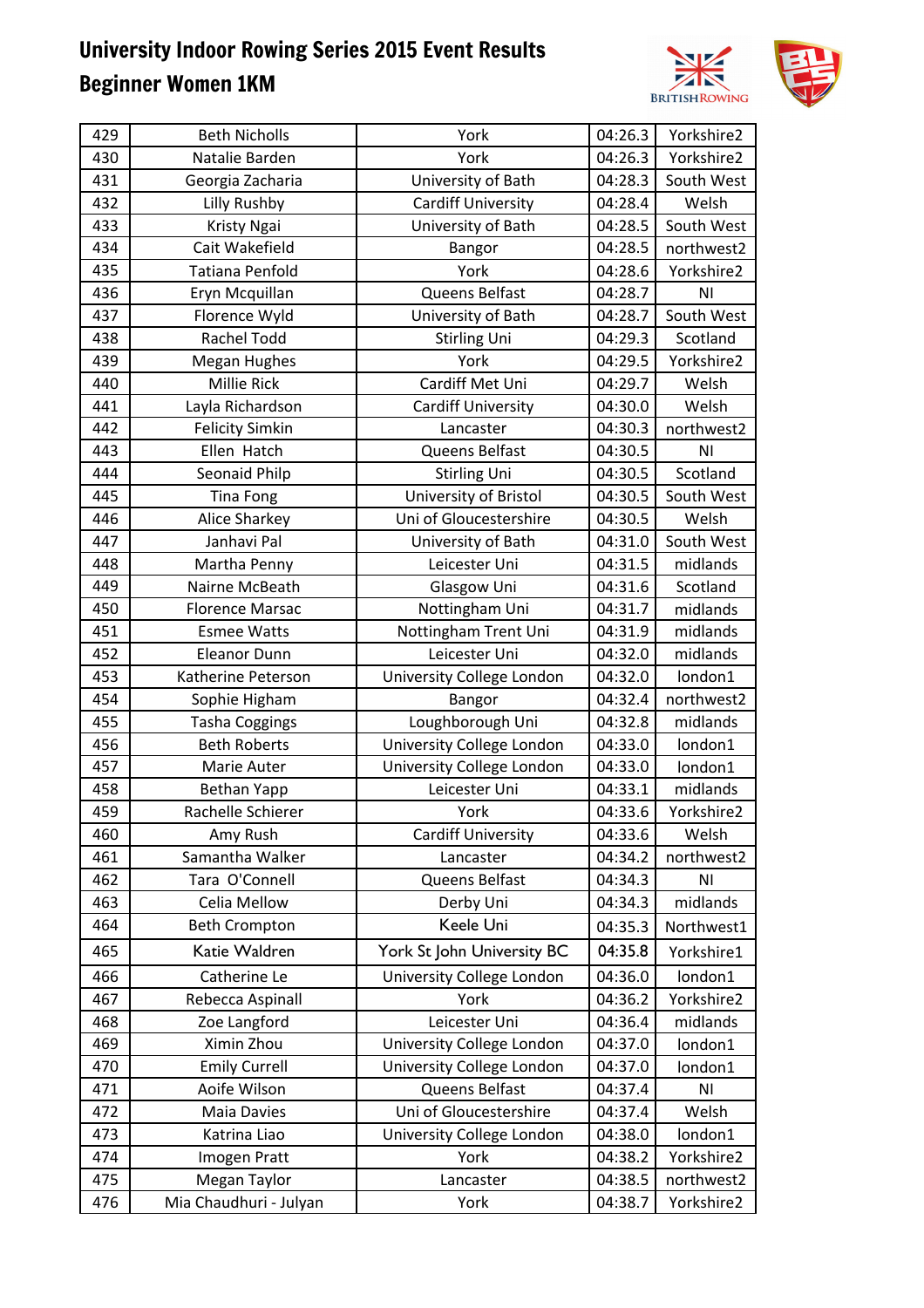

| 429 | <b>Beth Nicholls</b>   | York                       | 04:26.3 | Yorkshire2     |
|-----|------------------------|----------------------------|---------|----------------|
| 430 | Natalie Barden         | York                       | 04:26.3 | Yorkshire2     |
| 431 | Georgia Zacharia       | University of Bath         | 04:28.3 | South West     |
| 432 | Lilly Rushby           | <b>Cardiff University</b>  | 04:28.4 | Welsh          |
| 433 | Kristy Ngai            | University of Bath         | 04:28.5 | South West     |
| 434 | Cait Wakefield         | Bangor                     | 04:28.5 | northwest2     |
| 435 | <b>Tatiana Penfold</b> | York                       | 04:28.6 | Yorkshire2     |
| 436 | Eryn Mcquillan         | Queens Belfast             | 04:28.7 | N <sub>l</sub> |
| 437 | Florence Wyld          | University of Bath         | 04:28.7 | South West     |
| 438 | <b>Rachel Todd</b>     | <b>Stirling Uni</b>        | 04:29.3 | Scotland       |
| 439 | <b>Megan Hughes</b>    | York                       | 04:29.5 | Yorkshire2     |
| 440 | Millie Rick            | Cardiff Met Uni            | 04:29.7 | Welsh          |
| 441 | Layla Richardson       | Cardiff University         | 04:30.0 | Welsh          |
| 442 | <b>Felicity Simkin</b> | Lancaster                  | 04:30.3 | northwest2     |
| 443 | Ellen Hatch            | Queens Belfast             | 04:30.5 | <b>NI</b>      |
| 444 | Seonaid Philp          | <b>Stirling Uni</b>        | 04:30.5 | Scotland       |
| 445 | <b>Tina Fong</b>       | University of Bristol      | 04:30.5 | South West     |
| 446 | Alice Sharkey          | Uni of Gloucestershire     | 04:30.5 | Welsh          |
| 447 | Janhavi Pal            | University of Bath         | 04:31.0 | South West     |
| 448 | Martha Penny           | Leicester Uni              | 04:31.5 | midlands       |
| 449 | Nairne McBeath         | Glasgow Uni                | 04:31.6 | Scotland       |
| 450 | <b>Florence Marsac</b> | Nottingham Uni             | 04:31.7 | midlands       |
| 451 | <b>Esmee Watts</b>     | Nottingham Trent Uni       | 04:31.9 | midlands       |
| 452 | <b>Eleanor Dunn</b>    | Leicester Uni              | 04:32.0 | midlands       |
| 453 | Katherine Peterson     | University College London  | 04:32.0 | london1        |
| 454 | Sophie Higham          | Bangor                     | 04:32.4 | northwest2     |
| 455 | <b>Tasha Coggings</b>  | Loughborough Uni           | 04:32.8 | midlands       |
| 456 | <b>Beth Roberts</b>    | University College London  | 04:33.0 | london1        |
| 457 | Marie Auter            | University College London  | 04:33.0 | london1        |
| 458 | <b>Bethan Yapp</b>     | Leicester Uni              | 04:33.1 | midlands       |
| 459 | Rachelle Schierer      | York                       | 04:33.6 | Yorkshire2     |
| 460 | Amy Rush               | <b>Cardiff University</b>  | 04:33.6 | Welsh          |
| 461 | Samantha Walker        | Lancaster                  | 04:34.2 | northwest2     |
| 462 | Tara O'Connell         | Queens Belfast             | 04:34.3 | N <sub>1</sub> |
| 463 | Celia Mellow           | Derby Uni                  | 04:34.3 | midlands       |
| 464 | <b>Beth Crompton</b>   | Keele Uni                  | 04:35.3 | Northwest1     |
| 465 | Katie Waldren          | York St John University BC | 04:35.8 | Yorkshire1     |
| 466 | Catherine Le           | University College London  | 04:36.0 | london1        |
| 467 | Rebecca Aspinall       | York                       | 04:36.2 | Yorkshire2     |
| 468 | Zoe Langford           | Leicester Uni              | 04:36.4 | midlands       |
| 469 | Ximin Zhou             | University College London  | 04:37.0 | london1        |
| 470 | <b>Emily Currell</b>   | University College London  | 04:37.0 | london1        |
| 471 | Aoife Wilson           | Queens Belfast             | 04:37.4 | N <sub>1</sub> |
| 472 | Maia Davies            | Uni of Gloucestershire     | 04:37.4 | Welsh          |
| 473 | Katrina Liao           | University College London  | 04:38.0 | london1        |
| 474 | Imogen Pratt           | York                       | 04:38.2 | Yorkshire2     |
| 475 | Megan Taylor           | Lancaster                  | 04:38.5 | northwest2     |
| 476 | Mia Chaudhuri - Julyan | York                       | 04:38.7 | Yorkshire2     |